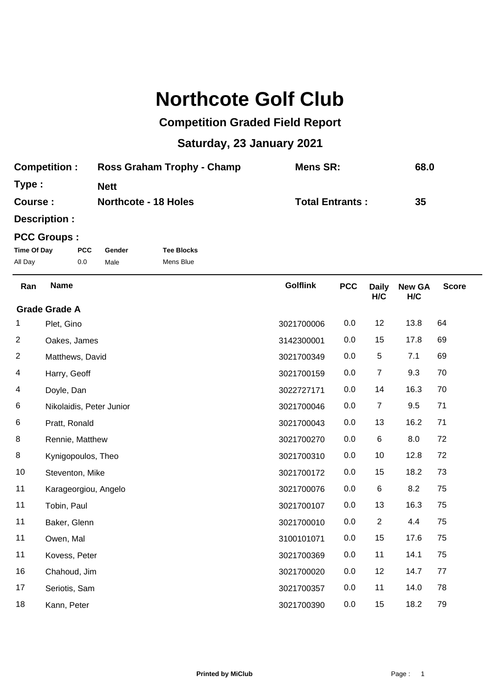## **Northcote Golf Club**

## **Competition Graded Field Report**

## **Saturday, 23 January 2021**

| <b>Competition:</b> | Ross Graham Trophy - Champ  | Mens SR:               | 68.0 |
|---------------------|-----------------------------|------------------------|------|
| Type:               | <b>Nett</b>                 |                        |      |
| Course :            | <b>Northcote - 18 Holes</b> | <b>Total Entrants:</b> | 35   |

**Description :**

## **PCC Groups :**

| Time Of Day | <b>PCC</b> | Gender | <b>Tee Blocks</b> |
|-------------|------------|--------|-------------------|
| All Day     | 0.0        | Male   | Mens Blue         |

**New GA H/C** Golflink **PCC** Daily **H/C** Ran Name **PCC Daily New GA** Score Plet, Gino 3021700006 0.0 12 13.8 64 **Grade Grade A** Oakes, James 3142300001 0.0 15 17.8 69 Matthews, David 3021700349 0.0 5 7.1 69 Harry, Geoff 3021700159 0.0 7 9.3 70 Doyle, Dan 3022727171 0.0 14 16.3 70 Nikolaidis, Peter Junior 3021700046 0.0 7 9.5 71 Pratt, Ronald 3021700043 0.0 13 16.2 71 Rennie, Matthew 3021700270 0.0 6 8.0 72 Kynigopoulos, Theo 3021700310 0.0 10 12.8 72 10 Steventon, Mike **3021700172** 0.0 15 18.2 73 Karageorgiou, Angelo 3021700076 0.0 6 8.2 75 Tobin, Paul 3021700107 0.0 13 16.3 75 Baker, Glenn 3021700010 0.0 2 4.4 75 Owen, Mal 3100101071 0.0 15 17.6 75 Kovess, Peter 3021700369 0.0 11 14.1 75 Chahoud, Jim 3021700020 0.0 12 14.7 77 Seriotis, Sam 3021700357 0.0 11 14.0 78 Kann, Peter 3021700390 0.0 15 18.2 79